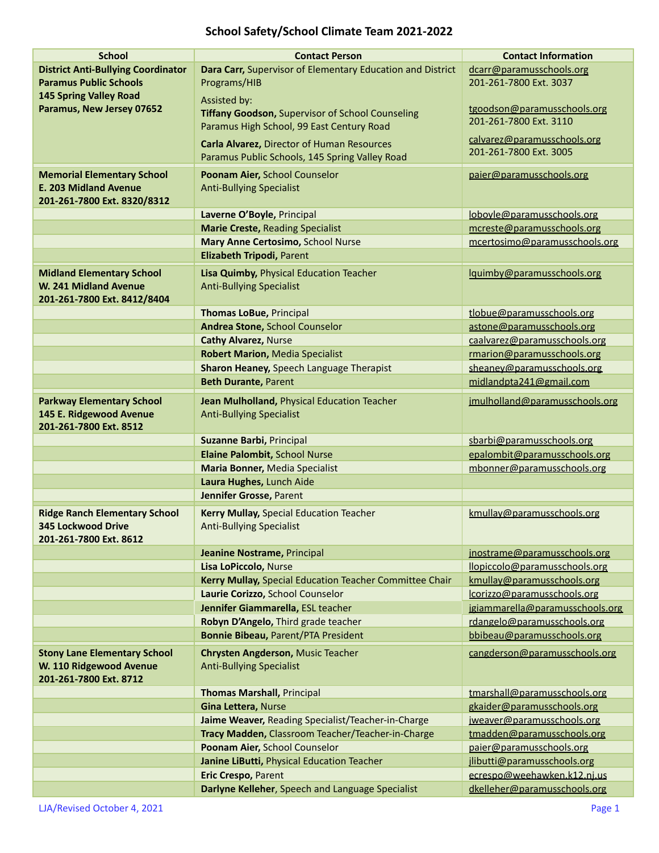## **School Safety/School Climate Team 2021-2022**

| <b>School</b>                                                     | <b>Contact Person</b>                                                        | <b>Contact Information</b>                               |
|-------------------------------------------------------------------|------------------------------------------------------------------------------|----------------------------------------------------------|
| <b>District Anti-Bullying Coordinator</b>                         | Dara Carr, Supervisor of Elementary Education and District                   | dcarr@paramusschools.org                                 |
| <b>Paramus Public Schools</b>                                     | Programs/HIB                                                                 | 201-261-7800 Ext. 3037                                   |
| <b>145 Spring Valley Road</b>                                     | Assisted by:                                                                 |                                                          |
| Paramus, New Jersey 07652                                         | <b>Tiffany Goodson, Supervisor of School Counseling</b>                      | tgoodson@paramusschools.org                              |
|                                                                   | Paramus High School, 99 East Century Road                                    | 201-261-7800 Ext. 3110                                   |
|                                                                   | Carla Alvarez, Director of Human Resources                                   | calvarez@paramusschools.org                              |
|                                                                   | Paramus Public Schools, 145 Spring Valley Road                               | 201-261-7800 Ext. 3005                                   |
|                                                                   |                                                                              |                                                          |
| <b>Memorial Elementary School</b><br><b>E. 203 Midland Avenue</b> | Poonam Aier, School Counselor                                                | paier@paramusschools.org                                 |
| 201-261-7800 Ext. 8320/8312                                       | <b>Anti-Bullying Specialist</b>                                              |                                                          |
|                                                                   |                                                                              |                                                          |
|                                                                   | Laverne O'Boyle, Principal                                                   | loboyle@paramusschools.org<br>mcreste@paramusschools.org |
|                                                                   | <b>Marie Creste, Reading Specialist</b><br>Mary Anne Certosimo, School Nurse |                                                          |
|                                                                   |                                                                              | mcertosimo@paramusschools.org                            |
|                                                                   | Elizabeth Tripodi, Parent                                                    |                                                          |
| <b>Midland Elementary School</b>                                  | Lisa Quimby, Physical Education Teacher                                      | lguimby@paramusschools.org                               |
| W. 241 Midland Avenue                                             | <b>Anti-Bullying Specialist</b>                                              |                                                          |
| 201-261-7800 Ext. 8412/8404                                       |                                                                              |                                                          |
|                                                                   | <b>Thomas LoBue, Principal</b>                                               | tlobue@paramusschools.org                                |
|                                                                   | Andrea Stone, School Counselor                                               | astone@paramusschools.org                                |
|                                                                   | <b>Cathy Alvarez, Nurse</b>                                                  | caalvarez@paramusschools.org                             |
|                                                                   | <b>Robert Marion, Media Specialist</b>                                       | rmarion@paramusschools.org                               |
|                                                                   | Sharon Heaney, Speech Language Therapist                                     | sheaney@paramusschools.org                               |
|                                                                   | <b>Beth Durante, Parent</b>                                                  | midlandpta241@gmail.com                                  |
| <b>Parkway Elementary School</b>                                  | Jean Mulholland, Physical Education Teacher                                  | jmulholland@paramusschools.org                           |
| 145 E. Ridgewood Avenue                                           | <b>Anti-Bullying Specialist</b>                                              |                                                          |
| 201-261-7800 Ext. 8512                                            |                                                                              |                                                          |
|                                                                   | Suzanne Barbi, Principal                                                     | sbarbi@paramusschools.org                                |
|                                                                   | Elaine Palombit, School Nurse                                                | epalombit@paramusschools.org                             |
|                                                                   | <b>Maria Bonner, Media Specialist</b>                                        | mbonner@paramusschools.org                               |
|                                                                   | Laura Hughes, Lunch Aide                                                     |                                                          |
|                                                                   | Jennifer Grosse, Parent                                                      |                                                          |
| <b>Ridge Ranch Elementary School</b>                              | Kerry Mullay, Special Education Teacher                                      | kmullay@paramusschools.org                               |
| <b>345 Lockwood Drive</b>                                         | <b>Anti-Bullying Specialist</b>                                              |                                                          |
| 201-261-7800 Ext. 8612                                            |                                                                              |                                                          |
|                                                                   | Jeanine Nostrame, Principal                                                  | inostrame@paramusschools.org                             |
|                                                                   | Lisa LoPiccolo, Nurse                                                        | llopiccolo@paramusschools.org                            |
|                                                                   | Kerry Mullay, Special Education Teacher Committee Chair                      | kmullay@paramusschools.org                               |
|                                                                   | Laurie Corizzo, School Counselor                                             | lcorizzo@paramusschools.org                              |
|                                                                   | Jennifer Giammarella, ESL teacher                                            | jgiammarella@paramusschools.org                          |
|                                                                   | Robyn D'Angelo, Third grade teacher                                          | rdangelo@paramusschools.org                              |
|                                                                   | <b>Bonnie Bibeau, Parent/PTA President</b>                                   | bbibeau@paramusschools.org                               |
| <b>Stony Lane Elementary School</b>                               | <b>Chrysten Angderson, Music Teacher</b>                                     | cangderson@paramusschools.org                            |
| W. 110 Ridgewood Avenue                                           | <b>Anti-Bullying Specialist</b>                                              |                                                          |
| 201-261-7800 Ext. 8712                                            |                                                                              |                                                          |
|                                                                   | <b>Thomas Marshall, Principal</b>                                            | tmarshall@paramusschools.org                             |
|                                                                   | Gina Lettera, Nurse                                                          | gkaider@paramusschools.org                               |
|                                                                   | Jaime Weaver, Reading Specialist/Teacher-in-Charge                           | jweaver@paramusschools.org                               |
|                                                                   | Tracy Madden, Classroom Teacher/Teacher-in-Charge                            | tmadden@paramusschools.org                               |
|                                                                   | Poonam Aier, School Counselor                                                | paier@paramusschools.org                                 |
|                                                                   | Janine LiButti, Physical Education Teacher                                   | jlibutti@paramusschools.org                              |
|                                                                   | Eric Crespo, Parent                                                          | ecrespo@weehawken.k12.nj.us                              |
|                                                                   | Darlyne Kelleher, Speech and Language Specialist                             | dkelleher@paramusschools.org                             |
|                                                                   |                                                                              |                                                          |